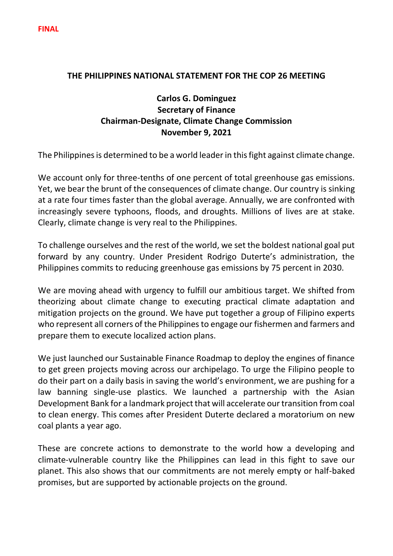## **THE PHILIPPINES NATIONAL STATEMENT FOR THE COP 26 MEETING**

## **Carlos G. Dominguez Secretary of Finance Chairman-Designate, Climate Change Commission November 9, 2021**

The Philippines is determined to be a world leader in this fight against climate change.

We account only for three-tenths of one percent of total greenhouse gas emissions. Yet, we bear the brunt of the consequences of climate change. Our country is sinking at a rate four times faster than the global average. Annually, we are confronted with increasingly severe typhoons, floods, and droughts. Millions of lives are at stake. Clearly, climate change is very real to the Philippines.

To challenge ourselves and the rest of the world, we set the boldest national goal put forward by any country. Under President Rodrigo Duterte's administration, the Philippines commits to reducing greenhouse gas emissions by 75 percent in 2030.

We are moving ahead with urgency to fulfill our ambitious target. We shifted from theorizing about climate change to executing practical climate adaptation and mitigation projects on the ground. We have put together a group of Filipino experts who represent all corners of the Philippines to engage our fishermen and farmers and prepare them to execute localized action plans.

We just launched our Sustainable Finance Roadmap to deploy the engines of finance to get green projects moving across our archipelago. To urge the Filipino people to do their part on a daily basis in saving the world's environment, we are pushing for a law banning single-use plastics. We launched a partnership with the Asian Development Bank for a landmark project that will accelerate our transition from coal to clean energy. This comes after President Duterte declared a moratorium on new coal plants a year ago.

These are concrete actions to demonstrate to the world how a developing and climate-vulnerable country like the Philippines can lead in this fight to save our planet. This also shows that our commitments are not merely empty or half-baked promises, but are supported by actionable projects on the ground.